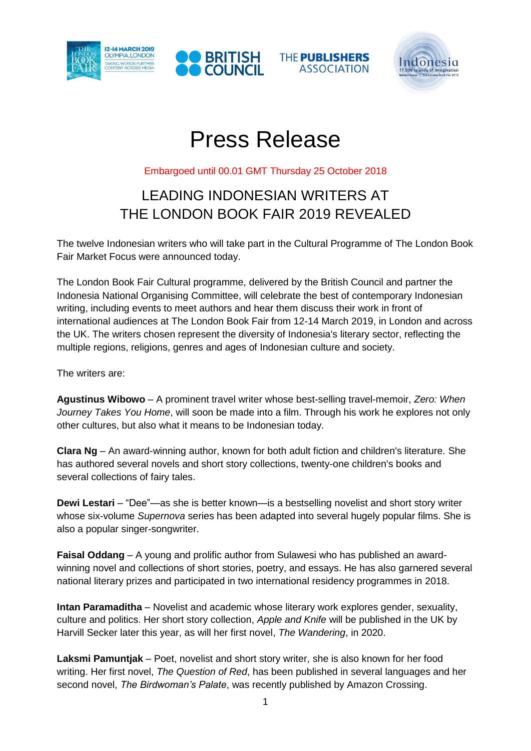







# Press Release

Embargoed until 00.01 GMT Thursday 25 October 2018

# LEADING INDONESIAN WRITERS AT THE LONDON BOOK FAIR 2019 REVEALED

The twelve Indonesian writers who will take part in the Cultural Programme of The London Book Fair Market Focus were announced today.

The London Book Fair Cultural programme, delivered by the British Council and partner the Indonesia National Organising Committee, will celebrate the best of contemporary Indonesian writing, including events to meet authors and hear them discuss their work in front of international audiences at The London Book Fair from 12-14 March 2019, in London and across the UK. The writers chosen represent the diversity of Indonesia's literary sector, reflecting the multiple regions, religions, genres and ages of Indonesian culture and society.

The writers are:

**Agustinus Wibowo** – A prominent travel writer whose best-selling travel-memoir, *Zero: When Journey Takes You Home*, will soon be made into a film. Through his work he explores not only other cultures, but also what it means to be Indonesian today.

**Clara Ng** – An award-winning author, known for both adult fiction and children's literature. She has authored several novels and short story collections, twenty-one children's books and several collections of fairy tales.

**Dewi Lestari** – "Dee"—as she is better known—is a bestselling novelist and short story writer whose six-volume *Supernova* series has been adapted into several hugely popular films. She is also a popular singer-songwriter.

**Faisal Oddang** – A young and prolific author from Sulawesi who has published an awardwinning novel and collections of short stories, poetry, and essays. He has also garnered several national literary prizes and participated in two international residency programmes in 2018.

**Intan Paramaditha** – Novelist and academic whose literary work explores gender, sexuality, culture and politics. Her short story collection, *Apple and Knife* will be published in the UK by Harvill Secker later this year, as will her first novel, *The Wandering*, in 2020.

**Laksmi Pamuntjak** – Poet, novelist and short story writer, she is also known for her food writing. Her first novel, *The Question of Red*, has been published in several languages and her second novel, *The Birdwoman's Palate*, was recently published by Amazon Crossing.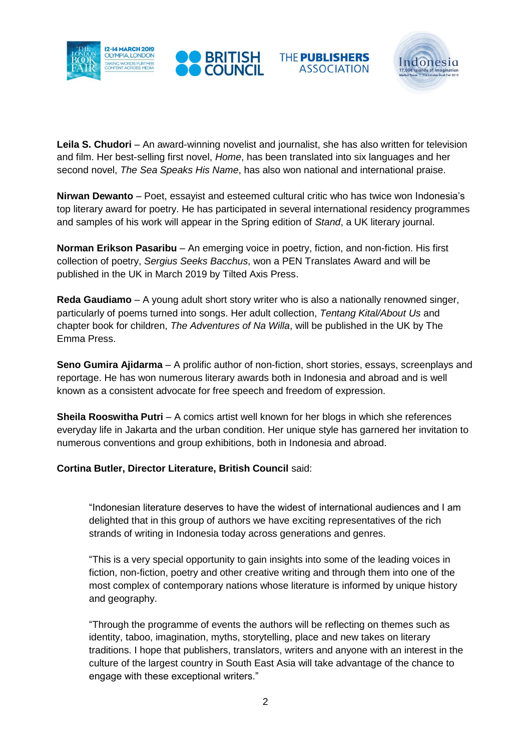







**Leila S. Chudori** – An award-winning novelist and journalist, she has also written for television and film. Her best-selling first novel, *Home*, has been translated into six languages and her second novel, *The Sea Speaks His Name*, has also won national and international praise.

**Nirwan Dewanto** – Poet, essayist and esteemed cultural critic who has twice won Indonesia's top literary award for poetry. He has participated in several international residency programmes and samples of his work will appear in the Spring edition of *Stand*, a UK literary journal.

**Norman Erikson Pasaribu** – An emerging voice in poetry, fiction, and non-fiction. His first collection of poetry, *Sergius Seeks Bacchus*, won a PEN Translates Award and will be published in the UK in March 2019 by Tilted Axis Press.

**Reda Gaudiamo** – A young adult short story writer who is also a nationally renowned singer, particularly of poems turned into songs. Her adult collection, *Tentang Kital/About Us* and chapter book for children, *The Adventures of Na Willa*, will be published in the UK by The Emma Press.

**Seno Gumira Ajidarma** – A prolific author of non-fiction, short stories, essays, screenplays and reportage. He has won numerous literary awards both in Indonesia and abroad and is well known as a consistent advocate for free speech and freedom of expression.

**Sheila Rooswitha Putri** – A comics artist well known for her blogs in which she references everyday life in Jakarta and the urban condition. Her unique style has garnered her invitation to numerous conventions and group exhibitions, both in Indonesia and abroad.

# **Cortina Butler, Director Literature, British Council** said:

"Indonesian literature deserves to have the widest of international audiences and I am delighted that in this group of authors we have exciting representatives of the rich strands of writing in Indonesia today across generations and genres.

"This is a very special opportunity to gain insights into some of the leading voices in fiction, non-fiction, poetry and other creative writing and through them into one of the most complex of contemporary nations whose literature is informed by unique history and geography.

"Through the programme of events the authors will be reflecting on themes such as identity, taboo, imagination, myths, storytelling, place and new takes on literary traditions. I hope that publishers, translators, writers and anyone with an interest in the culture of the largest country in South East Asia will take advantage of the chance to engage with these exceptional writers."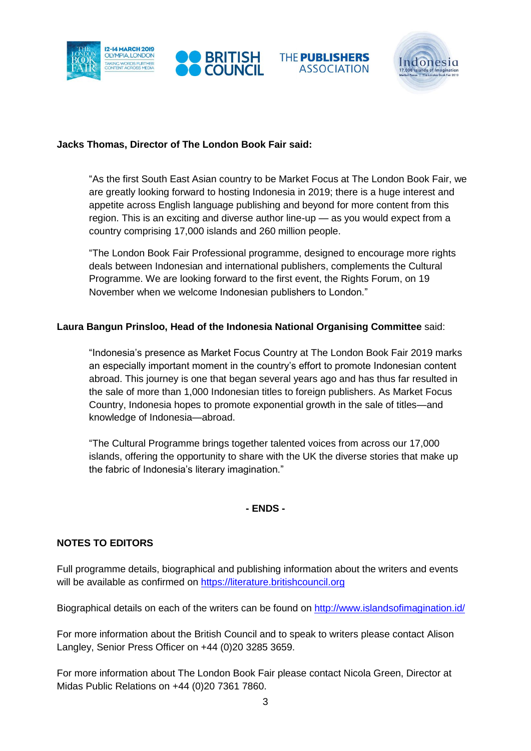







#### **Jacks Thomas, Director of The London Book Fair said:**

"As the first South East Asian country to be Market Focus at The London Book Fair, we are greatly looking forward to hosting Indonesia in 2019; there is a huge interest and appetite across English language publishing and beyond for more content from this region. This is an exciting and diverse author line-up — as you would expect from a country comprising 17,000 islands and 260 million people.

"The London Book Fair Professional programme, designed to encourage more rights deals between Indonesian and international publishers, complements the Cultural Programme. We are looking forward to the first event, the Rights Forum, on 19 November when we welcome Indonesian publishers to London."

# **Laura Bangun Prinsloo, Head of the Indonesia National Organising Committee** said:

"Indonesia's presence as Market Focus Country at The London Book Fair 2019 marks an especially important moment in the country's effort to promote Indonesian content abroad. This journey is one that began several years ago and has thus far resulted in the sale of more than 1,000 Indonesian titles to foreign publishers. As Market Focus Country, Indonesia hopes to promote exponential growth in the sale of titles—and knowledge of Indonesia—abroad.

"The Cultural Programme brings together talented voices from across our 17,000 islands, offering the opportunity to share with the UK the diverse stories that make up the fabric of Indonesia's literary imagination."

#### **- ENDS -**

#### **NOTES TO EDITORS**

Full programme details, biographical and publishing information about the writers and events will be available as confirmed on [https://literature.britishcouncil.org](https://literature.britishcouncil.org/)

Biographical details on each of the writers can be found on<http://www.islandsofimagination.id/>

For more information about the British Council and to speak to writers please contact Alison Langley, Senior Press Officer on +44 (0)20 3285 3659.

For more information about The London Book Fair please contact Nicola Green, Director at Midas Public Relations on +44 (0)20 7361 7860.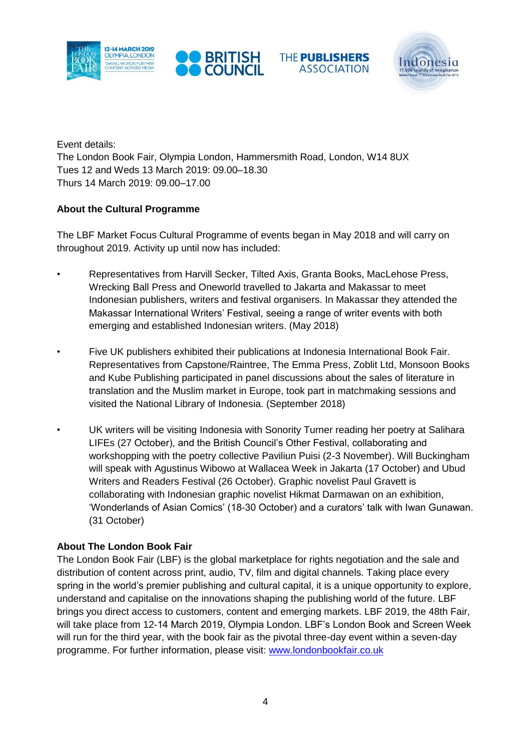







Event details: The London Book Fair, Olympia London, Hammersmith Road, London, W14 8UX Tues 12 and Weds 13 March 2019: 09.00–18.30 Thurs 14 March 2019: 09.00–17.00

# **About the Cultural Programme**

The LBF Market Focus Cultural Programme of events began in May 2018 and will carry on throughout 2019. Activity up until now has included:

- Representatives from Harvill Secker, Tilted Axis, Granta Books, MacLehose Press, Wrecking Ball Press and Oneworld travelled to Jakarta and Makassar to meet Indonesian publishers, writers and festival organisers. In Makassar they attended the Makassar International Writers' Festival, seeing a range of writer events with both emerging and established Indonesian writers. (May 2018)
- Five UK publishers exhibited their publications at Indonesia International Book Fair. Representatives from Capstone/Raintree, The Emma Press, Zoblit Ltd, Monsoon Books and Kube Publishing participated in panel discussions about the sales of literature in translation and the Muslim market in Europe, took part in matchmaking sessions and visited the National Library of Indonesia. (September 2018)
- UK writers will be visiting Indonesia with Sonority Turner reading her poetry at Salihara LIFEs (27 October), and the British Council's Other Festival, collaborating and workshopping with the poetry collective Paviliun Puisi (2-3 November). Will Buckingham will speak with Agustinus Wibowo at Wallacea Week in Jakarta (17 October) and Ubud Writers and Readers Festival (26 October). Graphic novelist Paul Gravett is collaborating with Indonesian graphic novelist Hikmat Darmawan on an exhibition, 'Wonderlands of Asian Comics' (18-30 October) and a curators' talk with Iwan Gunawan. (31 October)

# **About The London Book Fair**

The London Book Fair (LBF) is the global marketplace for rights negotiation and the sale and distribution of content across print, audio, TV, film and digital channels. Taking place every spring in the world's premier publishing and cultural capital, it is a unique opportunity to explore, understand and capitalise on the innovations shaping the publishing world of the future. LBF brings you direct access to customers, content and emerging markets. LBF 2019, the 48th Fair, will take place from 12-14 March 2019, Olympia London. LBF's London Book and Screen Week will run for the third year, with the book fair as the pivotal three-day event within a seven-day programme. For further information, please visit: [www.londonbookfair.co.uk](http://www.londonbookfair.co.uk/)